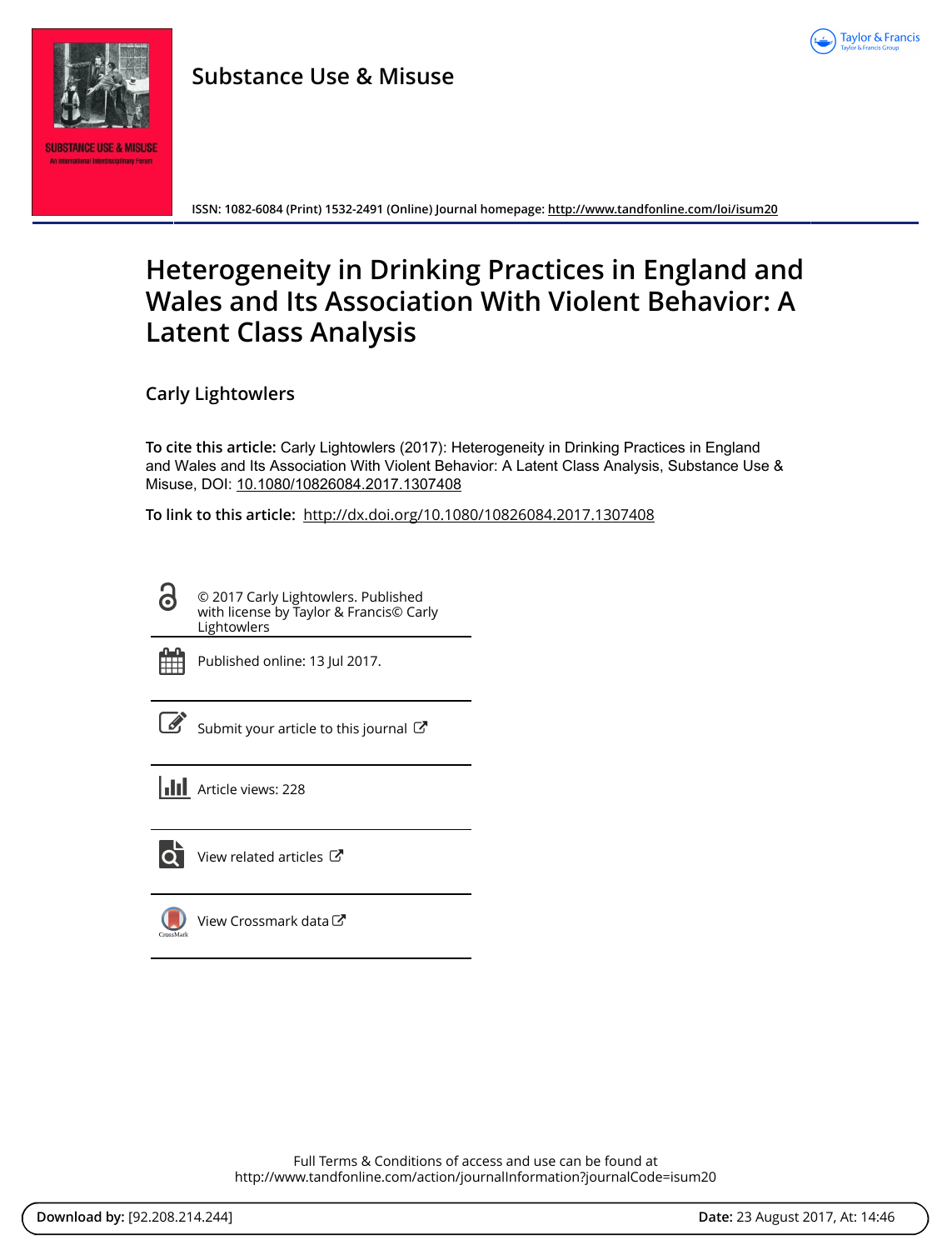



**ISSN: 1082-6084 (Print) 1532-2491 (Online) Journal homepage:<http://www.tandfonline.com/loi/isum20>**

# **Heterogeneity in Drinking Practices in England and Wales and Its Association With Violent Behavior: A Latent Class Analysis**

**Carly Lightowlers**

**To cite this article:** Carly Lightowlers (2017): Heterogeneity in Drinking Practices in England and Wales and Its Association With Violent Behavior: A Latent Class Analysis, Substance Use & Misuse, DOI: [10.1080/10826084.2017.1307408](http://www.tandfonline.com/action/showCitFormats?doi=10.1080/10826084.2017.1307408)

**To link to this article:** <http://dx.doi.org/10.1080/10826084.2017.1307408>

6 © 2017 Carly Lightowlers. Published with license by Taylor & Francis© Carly **Lightowlers** 



Published online: 13 Jul 2017.

| I |
|---|
|---|

[Submit your article to this journal](http://www.tandfonline.com/action/authorSubmission?journalCode=isum20&show=instructions)  $\mathbb{Z}$ 

**III** Article views: 228



 $\overline{Q}$  [View related articles](http://www.tandfonline.com/doi/mlt/10.1080/10826084.2017.1307408)  $\overline{C}$ 

[View Crossmark data](http://crossmark.crossref.org/dialog/?doi=10.1080/10826084.2017.1307408&domain=pdf&date_stamp=2017-07-13)

Full Terms & Conditions of access and use can be found at <http://www.tandfonline.com/action/journalInformation?journalCode=isum20>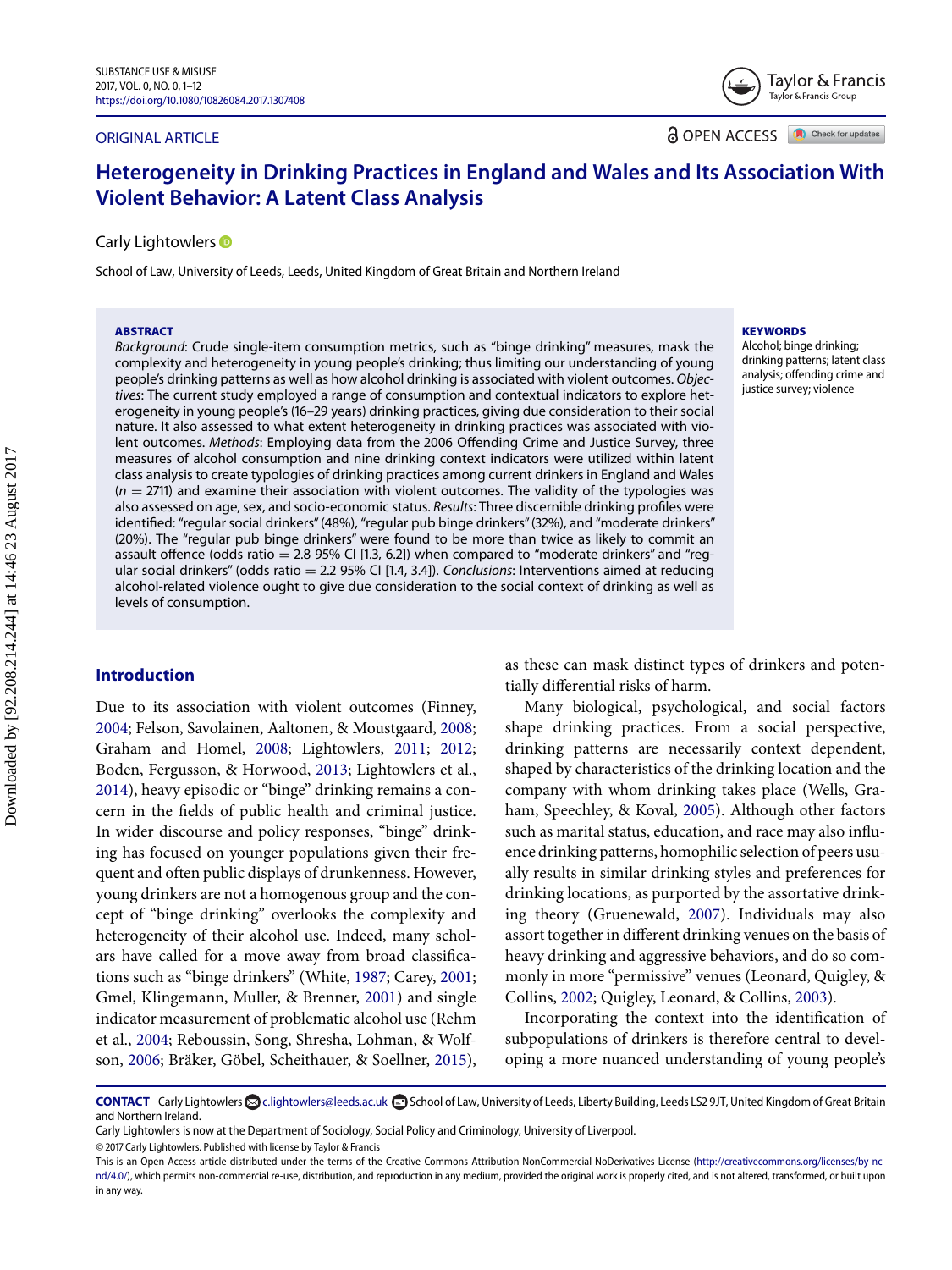#### ORIGINAL ARTICLE

**a** OPEN ACCESS **a** Check for updates

Taylor & Francis Taylor & Francis Group

# **Heterogeneity in Drinking Practices in England and Wales and Its Association With Violent Behavior: A Latent Class Analysis**

#### Carly Lightowlers **O**

School of Law, University of Leeds, Leeds, United Kingdom of Great Britain and Northern Ireland

#### **ABSTRACT**

Background: Crude single-item consumption metrics, such as "binge drinking" measures, mask the complexity and heterogeneity in young people's drinking; thus limiting our understanding of young people's drinking patterns as well as how alcohol drinking is associated with violent outcomes. Objectives: The current study employed a range of consumption and contextual indicators to explore heterogeneity in young people's (16–29 years) drinking practices, giving due consideration to their social nature. It also assessed to what extent heterogeneity in drinking practices was associated with violent outcomes. Methods: Employing data from the 2006 Offending Crime and Justice Survey, three measures of alcohol consumption and nine drinking context indicators were utilized within latent class analysis to create typologies of drinking practices among current drinkers in England and Wales  $(n = 2711)$  and examine their association with violent outcomes. The validity of the typologies was also assessed on age, sex, and socio-economic status. Results: Three discernible drinking profiles were identified: "regular social drinkers"(48%), "regular pub binge drinkers"(32%), and "moderate drinkers" (20%). The "regular pub binge drinkers" were found to be more than twice as likely to commit an assault offence (odds ratio  $= 2.8$  95% CI [1.3, 6.2]) when compared to "moderate drinkers" and "regular social drinkers" (odds ratio = 2.2 95% CI [1.4, 3.4]). Conclusions: Interventions aimed at reducing alcohol-related violence ought to give due consideration to the social context of drinking as well as levels of consumption.

#### **Introduction**

Due to its association with violent outcomes (Finney, [2004;](#page-9-0) Felson, Savolainen, Aaltonen, & Moustgaard, [2008;](#page-9-1) Graham and Homel, [2008;](#page-9-2) Lightowlers, [2011;](#page-9-3) [2012;](#page-9-4) Boden, Fergusson, & Horwood, [2013;](#page-8-0) Lightowlers et al., [2014\)](#page-9-5), heavy episodic or "binge" drinking remains a concern in the fields of public health and criminal justice. In wider discourse and policy responses, "binge" drinking has focused on younger populations given their frequent and often public displays of drunkenness. However, young drinkers are not a homogenous group and the concept of "binge drinking" overlooks the complexity and heterogeneity of their alcohol use. Indeed, many scholars have called for a move away from broad classifications such as "binge drinkers" (White, [1987;](#page-10-0) Carey, [2001;](#page-8-1) Gmel, Klingemann, Muller, & Brenner, [2001\)](#page-9-6) and single indicator measurement of problematic alcohol use (Rehm et al., [2004;](#page-9-7) Reboussin, Song, Shresha, Lohman, & Wolfson, [2006;](#page-9-8) Bräker, Göbel, Scheithauer, & Soellner, [2015\)](#page-8-2), **KEYWORDS**

Alcohol; binge drinking; drinking patterns; latent class analysis; offending crime and justice survey; violence

as these can mask distinct types of drinkers and potentially differential risks of harm.

Many biological, psychological, and social factors shape drinking practices. From a social perspective, drinking patterns are necessarily context dependent, shaped by characteristics of the drinking location and the company with whom drinking takes place (Wells, Graham, Speechley, & Koval, [2005\)](#page-10-1). Although other factors such as marital status, education, and race may also influence drinking patterns, homophilic selection of peers usually results in similar drinking styles and preferences for drinking locations, as purported by the assortative drinking theory (Gruenewald, [2007\)](#page-9-9). Individuals may also assort together in different drinking venues on the basis of heavy drinking and aggressive behaviors, and do so commonly in more "permissive" venues (Leonard, Quigley, & Collins, [2002;](#page-9-10) Quigley, Leonard, & Collins, [2003\)](#page-9-11).

Incorporating the context into the identification of subpopulations of drinkers is therefore central to developing a more nuanced understanding of young people's

CONTACT Carly Lightowlers **COLT** Carly Action Lergin Contents and COLT Carlo University of Leeds, Liberty Building, Leeds LS2 9JT, United Kingdom of Great Britain and Northern Ireland.

Carly Lightowlers is now at the Department of Sociology, Social Policy and Criminology, University of Liverpool. © 2017 Carly Lightowlers. Published with license by Taylor & Francis

This is an Open Access article distributed under the terms of the Creative Commons Attribution-NonCommercial-NoDerivatives License (http://creativecommons.org/licenses/by-ncnd/4.0/), which permits non-commercial re-use, distribution, and reproduction in any medium, provided the original work is properly cited, and is not altered, transformed, or built upon in any way.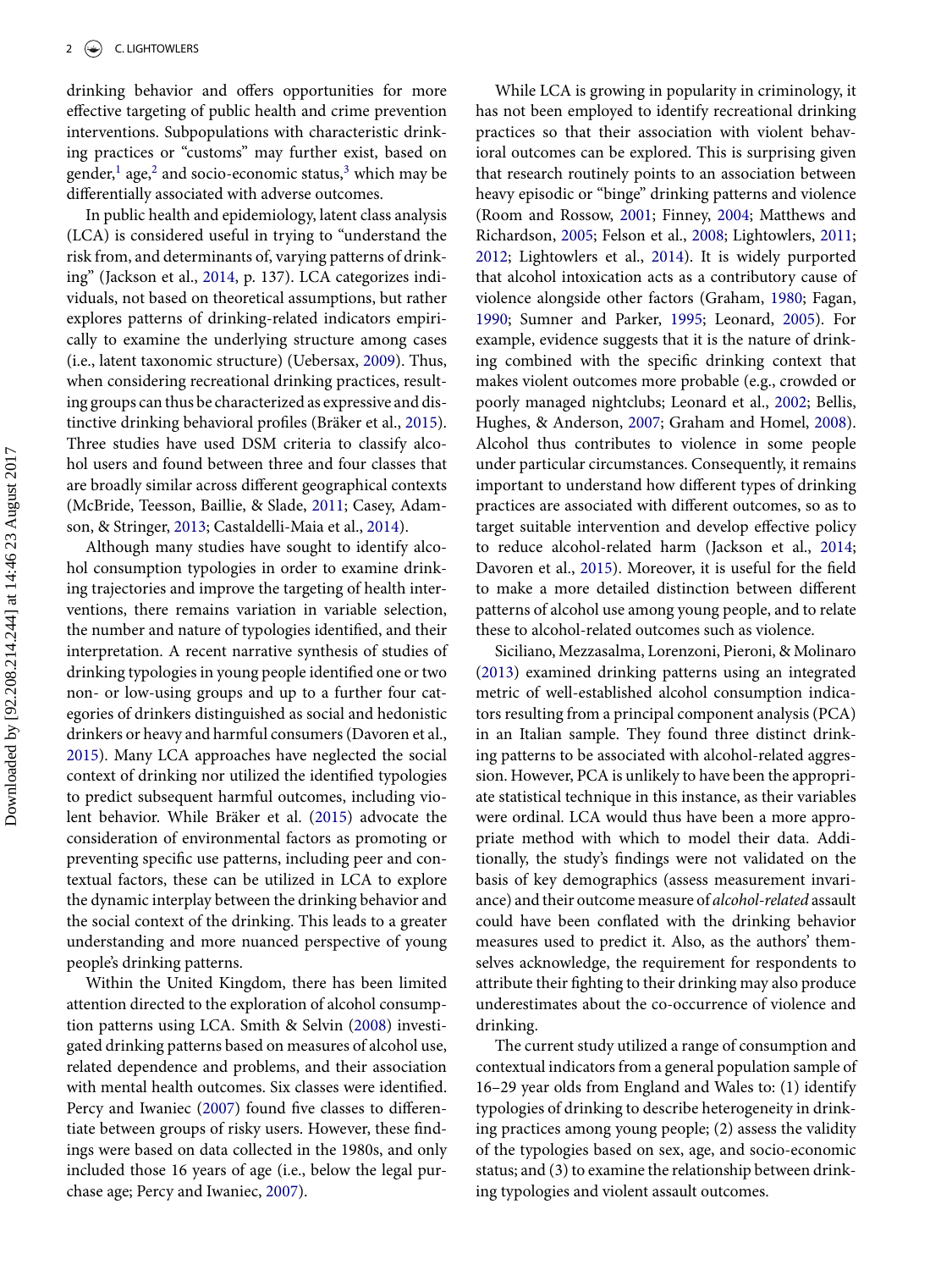drinking behavior and offers opportunities for more effective targeting of public health and crime prevention interventions. Subpopulations with characteristic drinking practices or "customs" may further exist, based on gender,<sup>[1](#page-8-3)</sup> age,<sup>[2](#page-8-4)</sup> and socio-economic status,<sup>[3](#page-8-5)</sup> which may be differentially associated with adverse outcomes.

In public health and epidemiology, latent class analysis (LCA) is considered useful in trying to "understand the risk from, and determinants of, varying patterns of drinking" (Jackson et al., [2014,](#page-9-12) p. 137). LCA categorizes individuals, not based on theoretical assumptions, but rather explores patterns of drinking-related indicators empirically to examine the underlying structure among cases (i.e., latent taxonomic structure) (Uebersax, [2009\)](#page-10-2). Thus, when considering recreational drinking practices, resulting groups can thus be characterized as expressive and distinctive drinking behavioral profiles (Bräker et al., [2015\)](#page-8-2). Three studies have used DSM criteria to classify alcohol users and found between three and four classes that are broadly similar across different geographical contexts (McBride, Teesson, Baillie, & Slade, [2011;](#page-9-13) Casey, Adamson, & Stringer, [2013;](#page-8-6) Castaldelli-Maia et al., [2014\)](#page-8-7).

Although many studies have sought to identify alcohol consumption typologies in order to examine drinking trajectories and improve the targeting of health interventions, there remains variation in variable selection, the number and nature of typologies identified, and their interpretation. A recent narrative synthesis of studies of drinking typologies in young people identified one or two non- or low-using groups and up to a further four categories of drinkers distinguished as social and hedonistic drinkers or heavy and harmful consumers (Davoren et al., [2015\)](#page-8-8). Many LCA approaches have neglected the social context of drinking nor utilized the identified typologies to predict subsequent harmful outcomes, including violent behavior. While Bräker et al. [\(2015\)](#page-8-2) advocate the consideration of environmental factors as promoting or preventing specific use patterns, including peer and contextual factors, these can be utilized in LCA to explore the dynamic interplay between the drinking behavior and the social context of the drinking. This leads to a greater understanding and more nuanced perspective of young people's drinking patterns.

Within the United Kingdom, there has been limited attention directed to the exploration of alcohol consumption patterns using LCA. Smith & Selvin [\(2008\)](#page-10-3) investigated drinking patterns based on measures of alcohol use, related dependence and problems, and their association with mental health outcomes. Six classes were identified. Percy and Iwaniec [\(2007\)](#page-9-14) found five classes to differentiate between groups of risky users. However, these findings were based on data collected in the 1980s, and only included those 16 years of age (i.e., below the legal purchase age; Percy and Iwaniec, [2007\)](#page-9-14).

While LCA is growing in popularity in criminology, it has not been employed to identify recreational drinking practices so that their association with violent behavioral outcomes can be explored. This is surprising given that research routinely points to an association between heavy episodic or "binge" drinking patterns and violence (Room and Rossow, [2001;](#page-10-4) Finney, [2004;](#page-9-0) Matthews and Richardson, [2005;](#page-9-15) Felson et al., [2008;](#page-9-1) Lightowlers, [2011;](#page-9-3) [2012;](#page-9-4) Lightowlers et al., [2014\)](#page-9-5). It is widely purported that alcohol intoxication acts as a contributory cause of violence alongside other factors (Graham, [1980;](#page-9-16) Fagan, [1990;](#page-9-17) Sumner and Parker, [1995;](#page-10-5) Leonard, [2005\)](#page-9-18). For example, evidence suggests that it is the nature of drinking combined with the specific drinking context that makes violent outcomes more probable (e.g., crowded or poorly managed nightclubs; Leonard et al., [2002;](#page-9-10) Bellis, Hughes, & Anderson, [2007;](#page-8-9) Graham and Homel, [2008\)](#page-9-2). Alcohol thus contributes to violence in some people under particular circumstances. Consequently, it remains important to understand how different types of drinking practices are associated with different outcomes, so as to target suitable intervention and develop effective policy to reduce alcohol-related harm (Jackson et al., [2014;](#page-9-12) Davoren et al., [2015\)](#page-8-8). Moreover, it is useful for the field to make a more detailed distinction between different patterns of alcohol use among young people, and to relate these to alcohol-related outcomes such as violence.

Siciliano, Mezzasalma, Lorenzoni, Pieroni, & Molinaro [\(2013\)](#page-10-6) examined drinking patterns using an integrated metric of well-established alcohol consumption indicators resulting from a principal component analysis (PCA) in an Italian sample. They found three distinct drinking patterns to be associated with alcohol-related aggression. However, PCA is unlikely to have been the appropriate statistical technique in this instance, as their variables were ordinal. LCA would thus have been a more appropriate method with which to model their data. Additionally, the study's findings were not validated on the basis of key demographics (assess measurement invariance) and their outcome measure of *alcohol-related* assault could have been conflated with the drinking behavior measures used to predict it. Also, as the authors' themselves acknowledge, the requirement for respondents to attribute their fighting to their drinking may also produce underestimates about the co-occurrence of violence and drinking.

The current study utilized a range of consumption and contextual indicators from a general population sample of 16–29 year olds from England and Wales to: (1) identify typologies of drinking to describe heterogeneity in drinking practices among young people; (2) assess the validity of the typologies based on sex, age, and socio-economic status; and (3) to examine the relationship between drinking typologies and violent assault outcomes.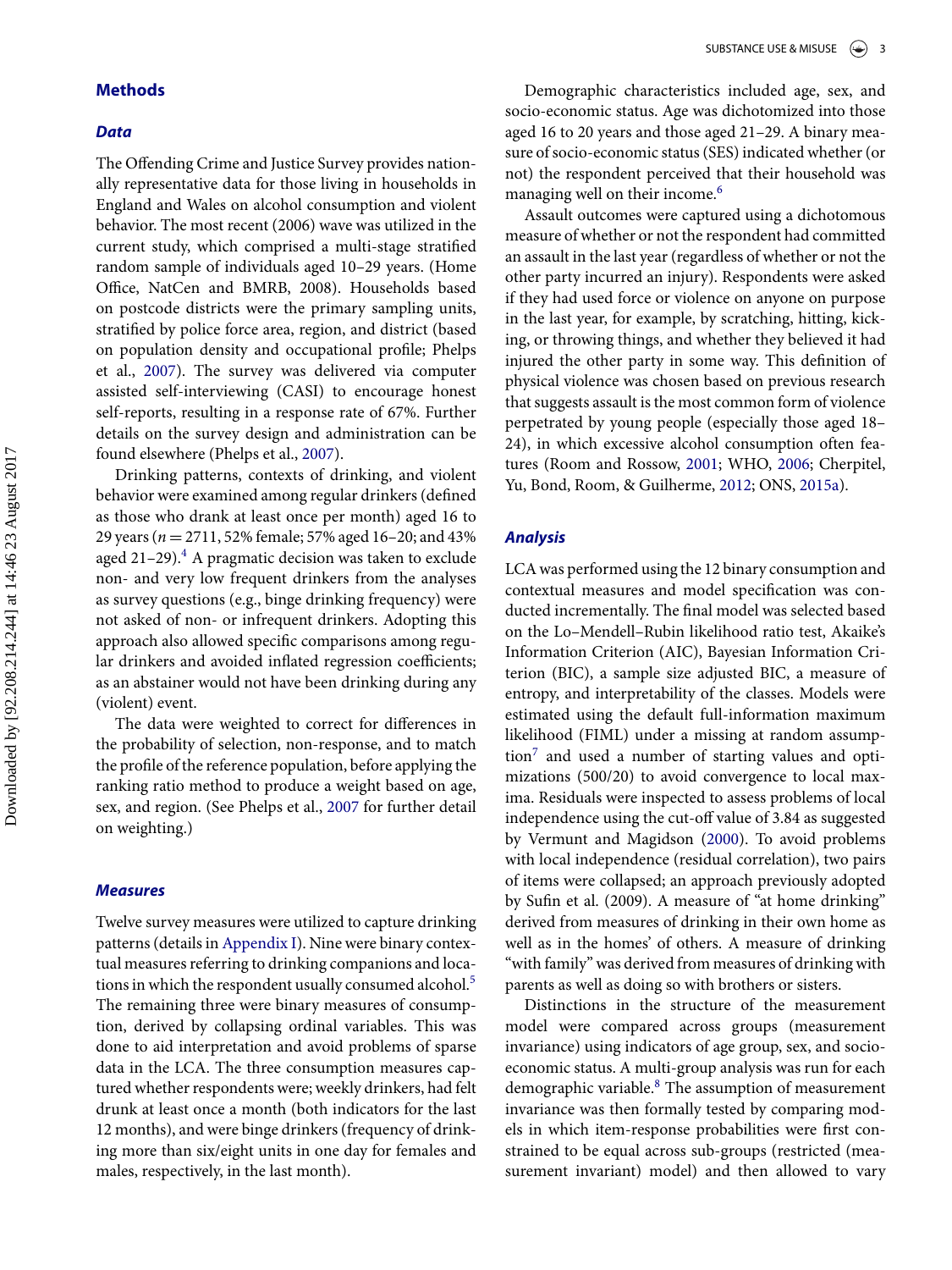#### **Methods**

#### *Data*

The Offending Crime and Justice Survey provides nationally representative data for those living in households in England and Wales on alcohol consumption and violent behavior. The most recent (2006) wave was utilized in the current study, which comprised a multi-stage stratified random sample of individuals aged 10–29 years. (Home Office, NatCen and BMRB, 2008). Households based on postcode districts were the primary sampling units, stratified by police force area, region, and district (based on population density and occupational profile; Phelps et al., [2007\)](#page-9-19). The survey was delivered via computer assisted self-interviewing (CASI) to encourage honest self-reports, resulting in a response rate of 67%. Further details on the survey design and administration can be found elsewhere (Phelps et al., [2007\)](#page-9-19).

Drinking patterns, contexts of drinking, and violent behavior were examined among regular drinkers (defined as those who drank at least once per month) aged 16 to 29 years (*n* = 2711, 52% female; 57% aged 16–20; and 43% aged  $21-29$ ).<sup>[4](#page-8-10)</sup> A pragmatic decision was taken to exclude non- and very low frequent drinkers from the analyses as survey questions (e.g., binge drinking frequency) were not asked of non- or infrequent drinkers. Adopting this approach also allowed specific comparisons among regular drinkers and avoided inflated regression coefficients; as an abstainer would not have been drinking during any (violent) event.

The data were weighted to correct for differences in the probability of selection, non-response, and to match the profile of the reference population, before applying the ranking ratio method to produce a weight based on age, sex, and region. (See Phelps et al., [2007](#page-9-19) for further detail on weighting.)

## *Measures*

Twelve survey measures were utilized to capture drinking patterns (details in [Appendix I\)](#page-10-7). Nine were binary contextual measures referring to drinking companions and loca-tions in which the respondent usually consumed alcohol.<sup>[5](#page-8-11)</sup> The remaining three were binary measures of consumption, derived by collapsing ordinal variables. This was done to aid interpretation and avoid problems of sparse data in the LCA. The three consumption measures captured whether respondents were; weekly drinkers, had felt drunk at least once a month (both indicators for the last 12 months), and were binge drinkers (frequency of drinking more than six/eight units in one day for females and males, respectively, in the last month).

Demographic characteristics included age, sex, and socio-economic status. Age was dichotomized into those aged 16 to 20 years and those aged 21–29. A binary measure of socio-economic status (SES) indicated whether (or not) the respondent perceived that their household was managing well on their income.<sup>[6](#page-8-12)</sup>

Assault outcomes were captured using a dichotomous measure of whether or not the respondent had committed an assault in the last year (regardless of whether or not the other party incurred an injury). Respondents were asked if they had used force or violence on anyone on purpose in the last year, for example, by scratching, hitting, kicking, or throwing things, and whether they believed it had injured the other party in some way. This definition of physical violence was chosen based on previous research that suggests assault is the most common form of violence perpetrated by young people (especially those aged 18– 24), in which excessive alcohol consumption often features (Room and Rossow, [2001;](#page-10-4) WHO, [2006;](#page-10-8) Cherpitel, Yu, Bond, Room, & Guilherme, [2012;](#page-8-13) ONS, [2015a\)](#page-9-20).

#### *Analysis*

LCA was performed using the 12 binary consumption and contextual measures and model specification was conducted incrementally. The final model was selected based on the Lo–Mendell–Rubin likelihood ratio test, Akaike's Information Criterion (AIC), Bayesian Information Criterion (BIC), a sample size adjusted BIC, a measure of entropy, and interpretability of the classes. Models were estimated using the default full-information maximum likelihood (FIML) under a missing at random assump- $\tau$  and used a number of starting values and optimizations (500/20) to avoid convergence to local maxima. Residuals were inspected to assess problems of local independence using the cut-off value of 3.84 as suggested by Vermunt and Magidson [\(2000\)](#page-10-9). To avoid problems with local independence (residual correlation), two pairs of items were collapsed; an approach previously adopted by Sufin et al. (2009). A measure of "at home drinking" derived from measures of drinking in their own home as well as in the homes' of others. A measure of drinking "with family" was derived from measures of drinking with parents as well as doing so with brothers or sisters.

Distinctions in the structure of the measurement model were compared across groups (measurement invariance) using indicators of age group, sex, and socioeconomic status. A multi-group analysis was run for each demographic variable.<sup>[8](#page-8-15)</sup> The assumption of measurement invariance was then formally tested by comparing models in which item-response probabilities were first constrained to be equal across sub-groups (restricted (measurement invariant) model) and the[n](#page-4-0) allowed to vary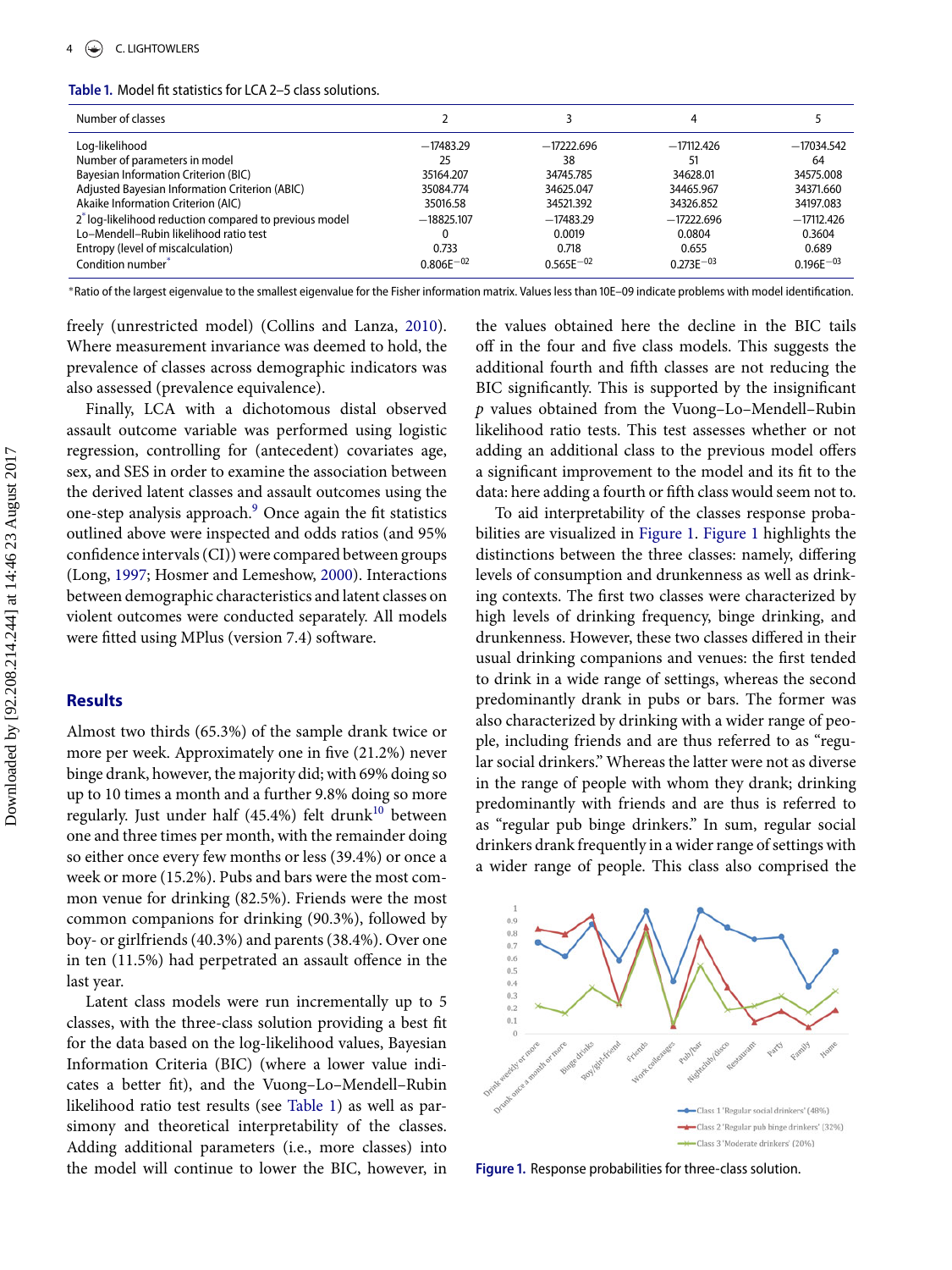#### <span id="page-4-0"></span>Table 1. Model fit statistics for LCA 2-5 class solutions.

| Number of classes                                                  |                |                |                |                |
|--------------------------------------------------------------------|----------------|----------------|----------------|----------------|
| Log-likelihood                                                     | $-17483.29$    | $-17222.696$   | $-17112.426$   | $-17034.542$   |
| Number of parameters in model                                      | 25             | 38             | 51             | 64             |
| Bayesian Information Criterion (BIC)                               | 35164.207      | 34745.785      | 34628.01       | 34575.008      |
| Adjusted Bayesian Information Criterion (ABIC)                     | 35084.774      | 34625.047      | 34465.967      | 34371.660      |
| Akaike Information Criterion (AIC)                                 | 35016.58       | 34521.392      | 34326.852      | 34197.083      |
| 2 <sup>*</sup> log-likelihood reduction compared to previous model | $-18825.107$   | $-17483.29$    | $-17222.696$   | $-17112.426$   |
| Lo-Mendell-Rubin likelihood ratio test                             |                | 0.0019         | 0.0804         | 0.3604         |
| Entropy (level of miscalculation)                                  | 0.733          | 0.718          | 0.655          | 0.689          |
| Condition number                                                   | $0.806E^{-02}$ | $0.565E^{-02}$ | $0.273E^{-03}$ | $0.196E^{-03}$ |

<span id="page-4-1"></span>\*Ratio of the largest eigenvalue to the smallest eigenvalue for the Fisher information matrix. Values less than 10E-09 indicate problems with model identification.

freely (unrestricted model) (Collins and Lanza, [2010\)](#page-8-16). Where measurement invariance was deemed to hold, the prevalence of classes across demographic indicators was also assessed (prevalence equivalence).

Finally, LCA with a dichotomous distal observed assault outcome variable was performed using logistic regression, controlling for (antecedent) covariates age, sex, and SES in order to examine the association between the derived latent classes and assault outcomes using the one-step analysis approach.<sup>[9](#page-8-17)</sup> Once again the fit statistics outlined above were inspected and odds ratios (and 95% confidence intervals (CI)) were compared between groups (Long, [1997;](#page-9-21) Hosmer and Lemeshow, [2000\)](#page-9-22). Interactions between demographic characteristics and latent classes on violent outcomes were conducted separately. All models were fitted using MPlus (version 7.4) software.

# **Results**

Almost two thirds (65.3%) of the sample drank twice or more per week. Approximately one in five (21.2%) never binge drank, however, the majority did; with 69% doing so up to 10 times a month and a further 9.8% doing so more regularly. Just under half  $(45.4%)$  felt drunk<sup>[10](#page-8-18)</sup> between one and three times per month, with the remainder doing so either once every few months or less (39.4%) or once a week or more (15.2%). Pubs and bars were the most common venue for drinking (82.5%). Friends were the most common companions for drinking (90.3%), followed by boy- or girlfriends (40.3%) and parents (38.4%). Over one in ten (11.5%) had perpetrated an assault offence in the last year.

Latent class models were run incrementally up to 5 classes, with the three-class solution providing a best fit for the data based on the log-likelihood values, Bayesian Information Criteria (BIC) (where a lower value indicates a better fit), and the Vuong–Lo–Mendell–Rubin likelihood ratio test results (see [Table 1\)](#page-4-0) as well as parsimony and theoretical interpretability of the classes. Adding additional parameters (i.e., more classes) into the model will continue to lower the BIC, however, in

the values obtained here the decline in the BIC tails off in the four and five class models. This suggests the additional fourth and fifth classes are not reducing the BIC significantly. This is supported by the insignificant *p* values obtained from the Vuong–Lo–Mendell–Rubin likelihood ratio tests. This test assesses whether or not adding an additional class to the previous model offers a significant improvement to the model and its fit to the data: here adding a fourth or fifth class would seem not to.

To aid interpretability of the classes response probabilities are visualized in [Figure 1.](#page-4-2) [Figure 1](#page-4-2) highlights the distinctions between the three classes: namely, differing levels of consumption and drunkenness as well as drinking contexts. The first two classes were characterized by high levels of drinking frequency, binge drinking, and drunkenness. However, these two classes differed in their usual drinking companions and venues: the first tended to drink in a wide range of settings, whereas the second predominantly drank in pubs or bars. The former was also characterized by drinking with a wider range of people, including friends and are thus referred to as "regular social drinkers." Whereas the latter were not as diverse in the range of people with whom they drank; drinking predominantly with friends and are thus is referred to as "regular pub binge drinkers." In sum, regular social drinkers drank frequently in a wider range of settings with a wider range of people. This class also comprised the

<span id="page-4-2"></span>

**Figure 1.** Response probabilities for three-class solution.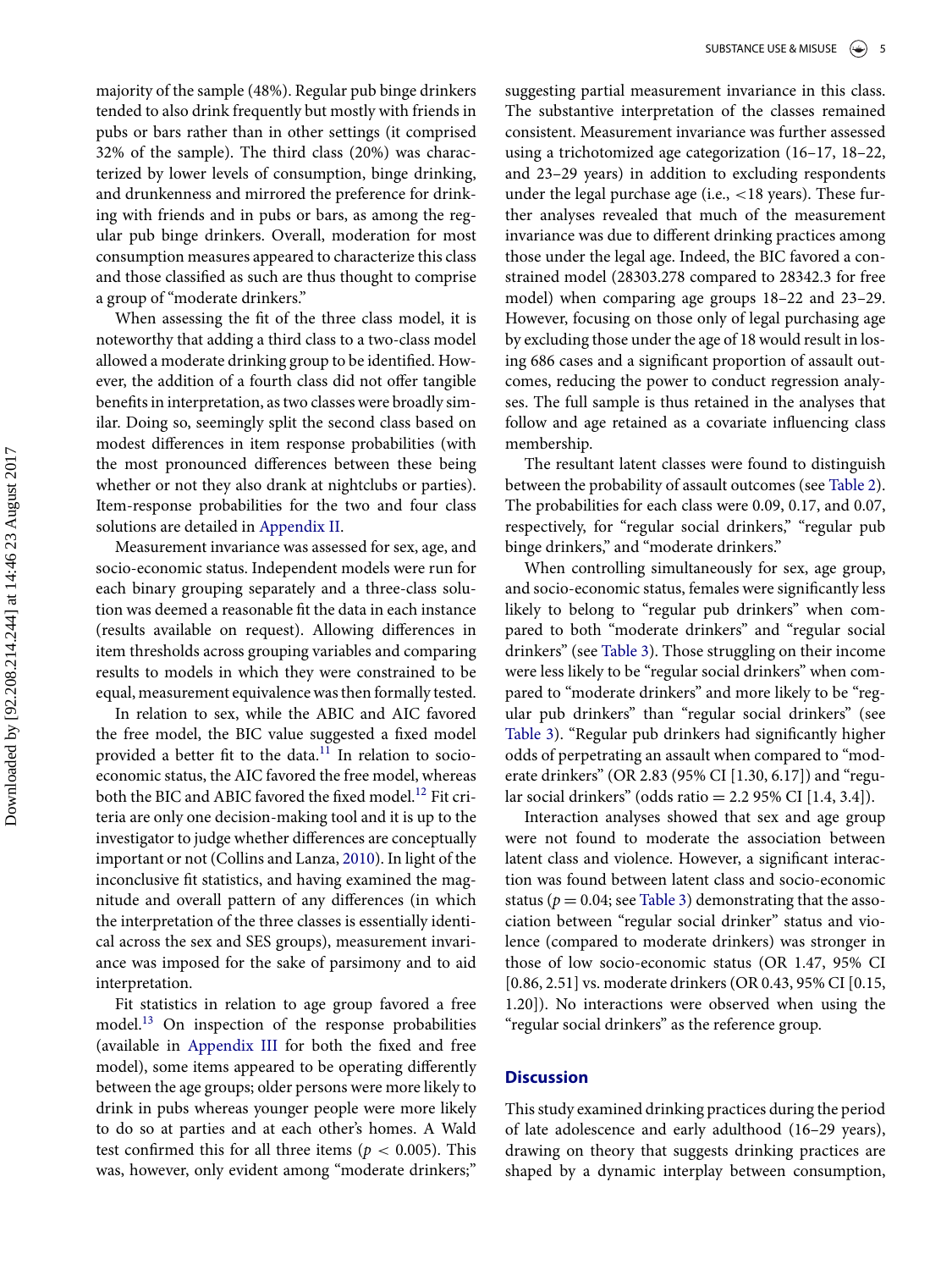majority of the sample (48%). Regular pub binge drinkers tended to also drink frequently but mostly with friends in pubs or bars rather than in other settings (it comprised 32% of the sample). The third class (20%) was characterized by lower levels of consumption, binge drinking, and drunkenness and mirrored the preference for drinking with friends and in pubs or bars, as among the regular pub binge drinkers. Overall, moderation for most consumption measures appeared to characterize this class and those classified as such are thus thought to comprise a group of "moderate drinkers."

When assessing the fit of the three class model, it is noteworthy that adding a third class to a two-class model allowed a moderate drinking group to be identified. However, the addition of a fourth class did not offer tangible benefits in interpretation, as two classes were broadly similar. Doing so, seemingly split the second class based on modest differences in item response probabilities (with the most pronounced differences between these being whether or not they also drank at nightclubs or parties). Item-response probabilities for the two and four class solutions are detailed in [Appendix II.](#page-12-0)

Measurement invariance was assessed for sex, age, and socio-economic status. Independent models were run for each binary grouping separately and a three-class solution was deemed a reasonable fit the data in each instance (results available on request). Allowing differences in item thresholds across grouping variables and comparing results to models in which they were constrained to be equal, measurement equivalence was then formally tested.

In relation to sex, while the ABIC and AIC favored the free model, the BIC value suggested a fixed model provided a better fit to the data.<sup>[11](#page-8-19)</sup> In relation to socioeconomic status, the AIC favored the free model, whereas both the BIC and ABIC favored the fixed model.<sup>[12](#page-8-20)</sup> Fit criteria are only one decision-making tool and it is up to the investigator to judge whether differences are conceptually important or not (Collins and Lanza, [2010\)](#page-8-16). In light of the inconclusive fit statistics, and having examined the magnitude and overall pattern of any differences (in which the interpretation of the three classes is essentially identical across the sex and SES groups), measurement invariance was imposed for the sake of parsimony and to aid interpretation.

Fit statistics in relation to age group favored a free model.<sup>[13](#page-8-21)</sup> On inspection of the response probabilities (available in [Appendix III](#page-12-1) for both the fixed and free model), some items appeared to be operating differently between the age groups; older persons were more likely to drink in pubs whereas younger people were more likely to do so at parties and at each other's homes. A Wald test confirmed this for all three items ( $p < 0.005$ ). This was, however, only evident among "moderate drinkers;" suggesting partial measurement invariance in this class. The substantive interpretation of the classes remained consistent. Measurement invariance was further assessed using a trichotomized age categorization (16–17, 18–22, and 23–29 years) in addition to excluding respondents under the legal purchase age (i.e., <18 years). These further analyses revealed that much of the measurement invariance was due to different drinking practices among those under the legal age. Indeed, the BIC favored a constrained model (28303.278 compared to 28342.3 for free model) when comparing age groups 18–22 and 23–29. However, focusing on those only of legal purchasing age by excluding those under the age of 18 would result in losing 686 cases and a significant proportion of assault outcomes, reducing the power to conduct regression analyses. The full sample is thus retained in the analyses that follow and age retained as a covariate influencing class membership.

The resultant latent classes were found to distinguish between the probability of assault outcomes (see [Table 2\)](#page-6-0). The probabilities for each class were 0.09, 0.17, and 0.07, respectively, for "regular social drinkers," "regular pub binge drinkers," and "moderate drinkers."

When controlling simultaneously for sex, age group, and socio-economic status, females were significantly less likely to belong to "regular pub drinkers" when compared to both "moderate drinkers" and "regular social drinkers" (see [Table 3\)](#page-6-1). Those struggling on their income were less likely to be "regular social drinkers" when compared to "moderate drinkers" and more likely to be "regular pub drinkers" than "regular social drinkers" (see [Table 3\)](#page-6-1). "Regular pub drinkers had significantly higher odds of perpetrating an assault when compared to "moderate drinkers" (OR 2.83 (95% CI [1.30, 6.17]) and "regular social drinkers" (odds ratio = 2.2 95% CI [1.4, 3.4]).

Interaction analyses showed that sex and age group were not found to moderate the association between latent class and violence. However, a significant interaction was found between latent class and socio-economic status ( $p = 0.04$ ; see [Table 3\)](#page-6-1) demonstrating that the association between "regular social drinker" status and violence (compared to moderate drinkers) was stronger in those of low socio-economic status (OR 1.47, 95% CI [0.86, 2.51] vs. moderate drinkers (OR 0.43, 95% CI [0.15, 1.20]). No interactions were observed when using the "regular social drinkers" as the reference group.

#### **Discussion**

This study examined drinking practices during the period of late adolescence and early adulthood (16–29 years), drawing on theory that suggests drinking practices are shaped by a dynamic interplay between consumption,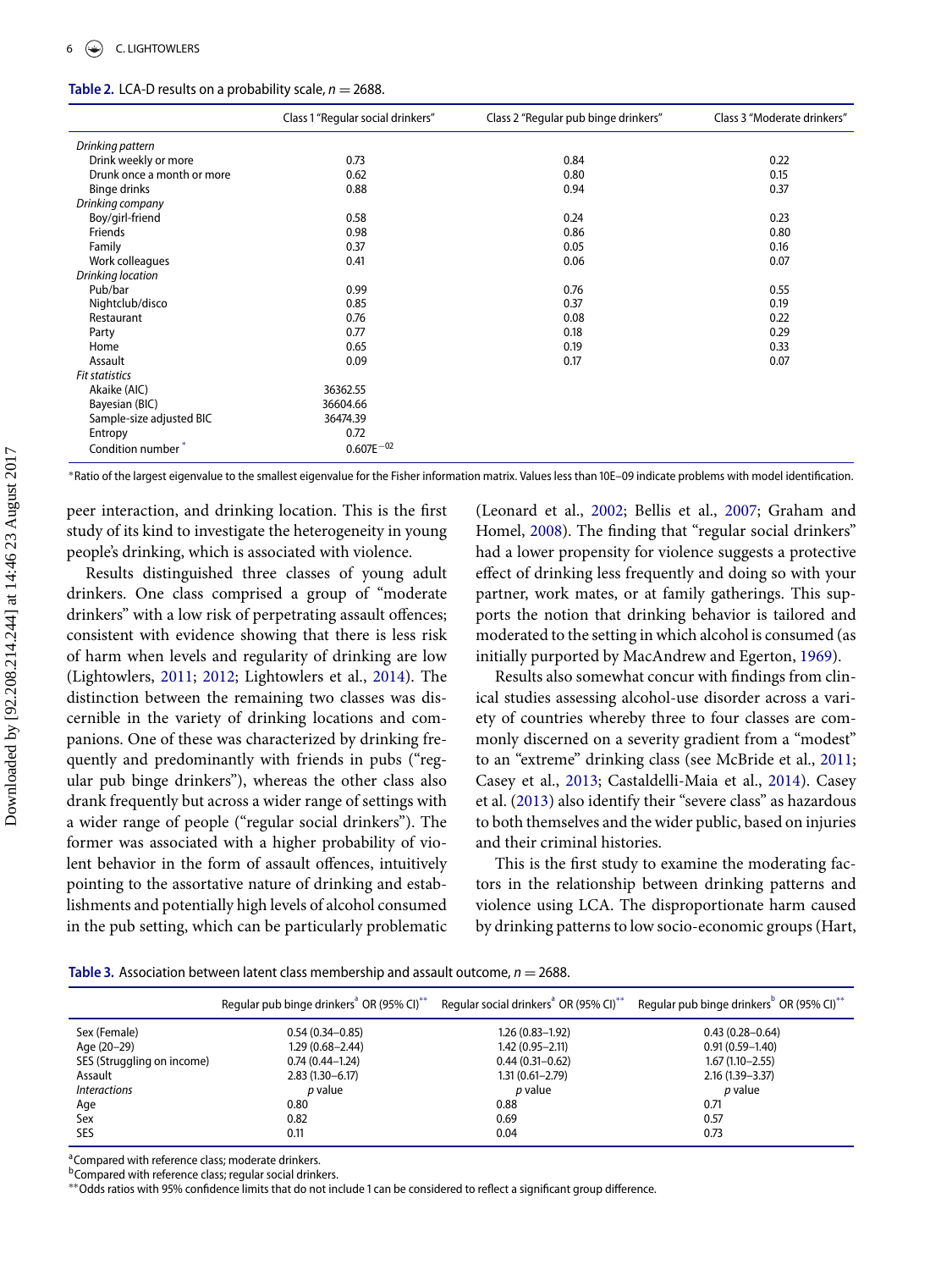<span id="page-6-0"></span>

| Table 2. LCA-D results on a probability scale, $n = 2688$ . |  |
|-------------------------------------------------------------|--|
|-------------------------------------------------------------|--|

|                            | Class 1 "Regular social drinkers" | Class 2 "Regular pub binge drinkers" | Class 3 "Moderate drinkers" |
|----------------------------|-----------------------------------|--------------------------------------|-----------------------------|
|                            |                                   |                                      |                             |
| Drinking pattern           |                                   |                                      |                             |
| Drink weekly or more       | 0.73                              | 0.84                                 | 0.22                        |
| Drunk once a month or more | 0.62                              | 0.80                                 | 0.15                        |
| Binge drinks               | 0.88                              | 0.94                                 | 0.37                        |
| Drinking company           |                                   |                                      |                             |
| Boy/girl-friend            | 0.58                              | 0.24                                 | 0.23                        |
| Friends                    | 0.98                              | 0.86                                 | 0.80                        |
| Family                     | 0.37                              | 0.05                                 | 0.16                        |
| Work colleagues            | 0.41                              | 0.06                                 | 0.07                        |
| Drinking location          |                                   |                                      |                             |
| Pub/bar                    | 0.99                              | 0.76                                 | 0.55                        |
| Nightclub/disco            | 0.85                              | 0.37                                 | 0.19                        |
| Restaurant                 | 0.76                              | 0.08                                 | 0.22                        |
| Party                      | 0.77                              | 0.18                                 | 0.29                        |
| Home                       | 0.65                              | 0.19                                 | 0.33                        |
| Assault                    | 0.09                              | 0.17                                 | 0.07                        |
| <b>Fit statistics</b>      |                                   |                                      |                             |
| Akaike (AIC)               | 36362.55                          |                                      |                             |
| Bayesian (BIC)             | 36604.66                          |                                      |                             |
| Sample-size adjusted BIC   | 36474.39                          |                                      |                             |
| Entropy                    | 0.72                              |                                      |                             |
| Condition number           | $0.607E^{-02}$                    |                                      |                             |

<span id="page-6-2"></span>\*Ratio of the largest eigenvalue to the smallest eigenvalue for the Fisher information matrix. Values less than 10E–09 indicate problems with model identification.

peer interaction, and drinking location. This is the first study of its kind to investigate the heterogeneity in young people's drinking, which is associated with violence.

Results distinguished three classes of young adult drinkers. One class comprised a group of "moderate drinkers" with a low risk of perpetrating assault offences; consistent with evidence showing that there is less risk of harm when levels and regularity of drinking are low (Lightowlers, [2011;](#page-9-3) [2012;](#page-9-4) Lightowlers et al., [2014\)](#page-9-5). The distinction between the remaining two classes was discernible in the variety of drinking locations and companions. One of these was characterized by drinking frequently and predominantly with friends in pubs ("regular pub binge drinkers"), whereas the other class also drank frequently but across a wider range of settings with a wider range of people ("regular social drinkers"). The former was associated with a higher probability of violent behavior in the form of assault offences, intuitively pointing to the assortative nature of drinking and establishments and potentially high levels of alcohol consumed in the pub setting, which can be particularly problematic

(Leonard et al., [2002;](#page-9-10) Bellis et al., [2007;](#page-8-9) Graham and Homel, [2008\)](#page-9-2). The finding that "regular social drinkers" had a lower propensity for violence suggests a protective effect of drinking less frequently and doing so with your partner, work mates, or at family gatherings. This supports the notion that drinking behavior is tailored and moderated to the setting in which alcohol is consumed (as initially purported by MacAndrew and Egerton, [1969\)](#page-9-23).

Results also somewhat concur with findings from clinical studies assessing alcohol-use disorder across a variety of countries whereby three to four classes are commonly discerned on a severity gradient from a "modest" to an "extreme" drinking class (see McBride et al., [2011;](#page-9-13) Casey et al., [2013;](#page-8-6) Castaldelli-Maia et al., [2014\)](#page-8-7). Casey et al. [\(2013\)](#page-8-6) also identify their "severe class" as hazardous to both themselves and the wider public, based on injuries and their criminal histories.

This is the first study to examine the moderating factors in the relationship between drinking patterns and violence using LCA. The disproportionate harm caused by drinking patterns to low socio-economic groups (Hart,

<span id="page-6-1"></span>**Table 3.** Association between latent class membership and assault outcome,  $n = 2688$ .

|                                   | Regular pub binge drinkers <sup>4</sup> OR (95% CI) <sup>**</sup> | Regular social drinkers <sup>ª</sup> OR (95% CI) <sup>**</sup> | Regular pub binge drinkers <sup>b</sup> OR (95% CI) <sup>**</sup> |
|-----------------------------------|-------------------------------------------------------------------|----------------------------------------------------------------|-------------------------------------------------------------------|
| Sex (Female)                      | $0.54(0.34 - 0.85)$                                               | $1.26(0.83 - 1.92)$                                            | $0.43(0.28 - 0.64)$                                               |
| Age (20-29)                       | $1.29(0.68 - 2.44)$                                               | $1.42(0.95 - 2.11)$                                            | $0.91(0.59 - 1.40)$                                               |
| SES (Struggling on income)        | $0.74(0.44 - 1.24)$                                               | $0.44(0.31-0.62)$                                              | $1.67(1.10 - 2.55)$                                               |
| Assault                           | $2.83(1.30 - 6.17)$                                               | $1.31(0.61 - 2.79)$                                            | 2.16 (1.39 - 3.37)                                                |
| <i><u><b>Interactions</b></u></i> | p value                                                           | p value                                                        | p value                                                           |
| Age                               | 0.80                                                              | 0.88                                                           | 0.71                                                              |
| Sex                               | 0.82                                                              | 0.69                                                           | 0.57                                                              |
| <b>SES</b>                        | 0.11                                                              | 0.04                                                           | 0.73                                                              |

<span id="page-6-3"></span><sup>a</sup>Compared with reference class; moderate drinkers.

<span id="page-6-5"></span>bCompared with reference class; regular social drinkers.

<span id="page-6-4"></span>\*\*Odds ratios with 95% confidence limits that do not include 1 can be considered to reflect a significant group difference.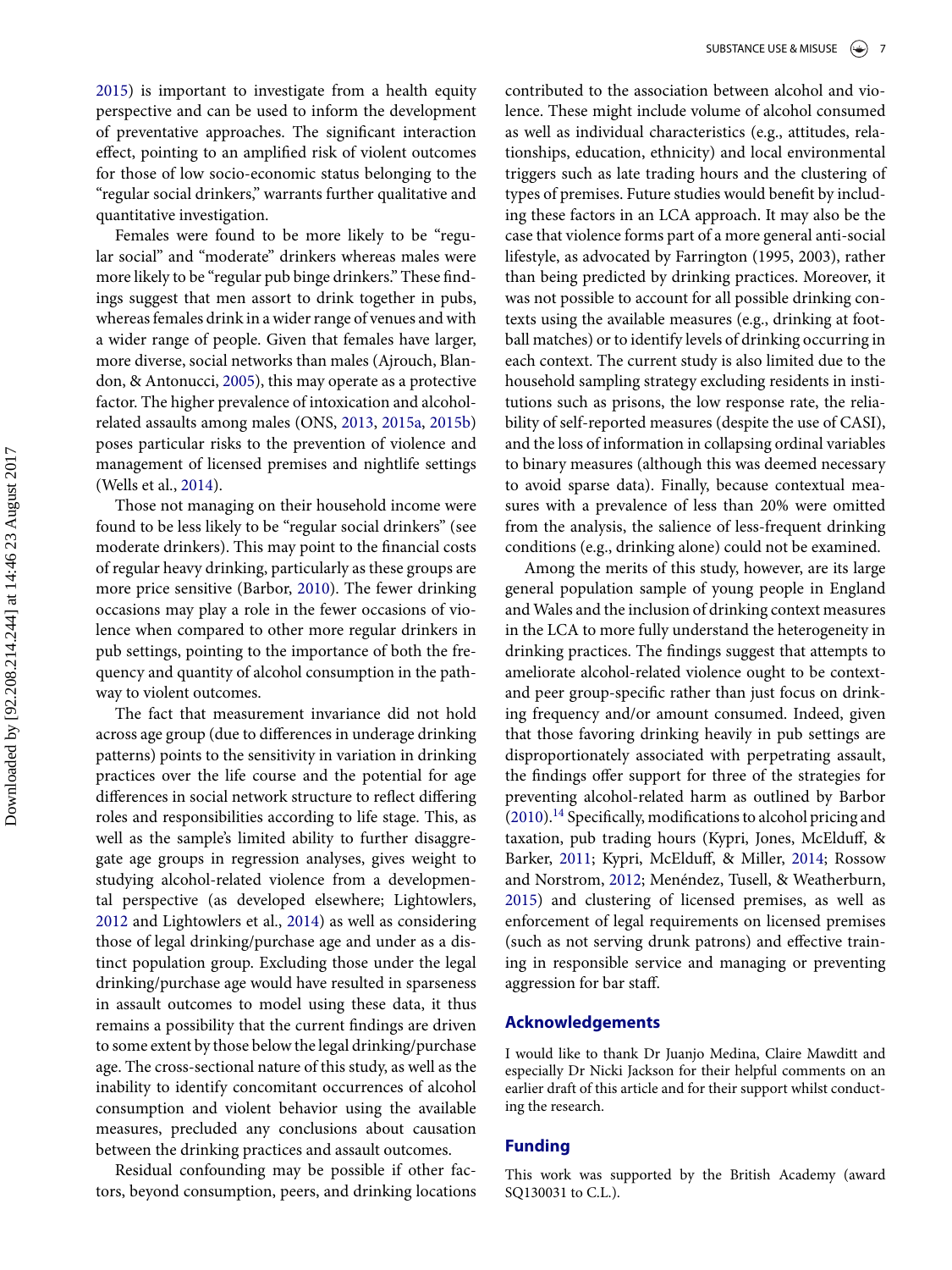[2015\)](#page-9-24) is important to investigate from a health equity perspective and can be used to inform the development of preventative approaches. The significant interaction effect, pointing to an amplified risk of violent outcomes for those of low socio-economic status belonging to the "regular social drinkers," warrants further qualitative and quantitative investigation.

Females were found to be more likely to be "regular social" and "moderate" drinkers whereas males were more likely to be "regular pub binge drinkers." These findings suggest that men assort to drink together in pubs, whereas females drink in a wider range of venues and with a wider range of people. Given that females have larger, more diverse, social networks than males (Ajrouch, Blandon, & Antonucci, [2005\)](#page-8-22), this may operate as a protective factor. The higher prevalence of intoxication and alcoholrelated assaults among males (ONS, [2013,](#page-9-25) [2015a,](#page-9-26) [2015b\)](#page-9-20) poses particular risks to the prevention of violence and management of licensed premises and nightlife settings (Wells et al., [2014\)](#page-10-10).

Those not managing on their household income were found to be less likely to be "regular social drinkers" (see moderate drinkers). This may point to the financial costs of regular heavy drinking, particularly as these groups are more price sensitive (Barbor, [2010\)](#page-8-23). The fewer drinking occasions may play a role in the fewer occasions of violence when compared to other more regular drinkers in pub settings, pointing to the importance of both the frequency and quantity of alcohol consumption in the pathway to violent outcomes.

The fact that measurement invariance did not hold across age group (due to differences in underage drinking patterns) points to the sensitivity in variation in drinking practices over the life course and the potential for age differences in social network structure to reflect differing roles and responsibilities according to life stage. This, as well as the sample's limited ability to further disaggregate age groups in regression analyses, gives weight to studying alcohol-related violence from a developmental perspective (as developed elsewhere; Lightowlers, [2012](#page-9-4) and Lightowlers et al., [2014\)](#page-9-5) as well as considering those of legal drinking/purchase age and under as a distinct population group. Excluding those under the legal drinking/purchase age would have resulted in sparseness in assault outcomes to model using these data, it thus remains a possibility that the current findings are driven to some extent by those below the legal drinking/purchase age. The cross-sectional nature of this study, as well as the inability to identify concomitant occurrences of alcohol consumption and violent behavior using the available measures, precluded any conclusions about causation between the drinking practices and assault outcomes.

Residual confounding may be possible if other factors, beyond consumption, peers, and drinking locations contributed to the association between alcohol and violence. These might include volume of alcohol consumed as well as individual characteristics (e.g., attitudes, relationships, education, ethnicity) and local environmental triggers such as late trading hours and the clustering of types of premises. Future studies would benefit by including these factors in an LCA approach. It may also be the case that violence forms part of a more general anti-social lifestyle, as advocated by Farrington (1995, 2003), rather than being predicted by drinking practices. Moreover, it was not possible to account for all possible drinking contexts using the available measures (e.g., drinking at football matches) or to identify levels of drinking occurring in each context. The current study is also limited due to the household sampling strategy excluding residents in institutions such as prisons, the low response rate, the reliability of self-reported measures (despite the use of CASI), and the loss of information in collapsing ordinal variables to binary measures (although this was deemed necessary to avoid sparse data). Finally, because contextual measures with a prevalence of less than 20% were omitted from the analysis, the salience of less-frequent drinking conditions (e.g., drinking alone) could not be examined.

Among the merits of this study, however, are its large general population sample of young people in England and Wales and the inclusion of drinking context measures in the LCA to more fully understand the heterogeneity in drinking practices. The findings suggest that attempts to ameliorate alcohol-related violence ought to be contextand peer group-specific rather than just focus on drinking frequency and/or amount consumed. Indeed, given that those favoring drinking heavily in pub settings are disproportionately associated with perpetrating assault, the findings offer support for three of the strategies for preventing alcohol-related harm as outlined by Barbor [\(2010\)](#page-8-23).[14](#page-8-24) Specifically, modifications to alcohol pricing and taxation, pub trading hours (Kypri, Jones, McElduff, & Barker, [2011;](#page-9-27) Kypri, McElduff, & Miller, [2014;](#page-9-28) Rossow and Norstrom, [2012;](#page-10-11) Menéndez, Tusell, & Weatherburn, [2015\)](#page-9-29) and clustering of licensed premises, as well as enforcement of legal requirements on licensed premises (such as not serving drunk patrons) and effective training in responsible service and managing or preventing aggression for bar staff.

#### **Acknowledgements**

I would like to thank Dr Juanjo Medina, Claire Mawditt and especially Dr Nicki Jackson for their helpful comments on an earlier draft of this article and for their support whilst conducting the research.

#### **Funding**

This work was supported by the British Academy (award SQ130031 to C.L.).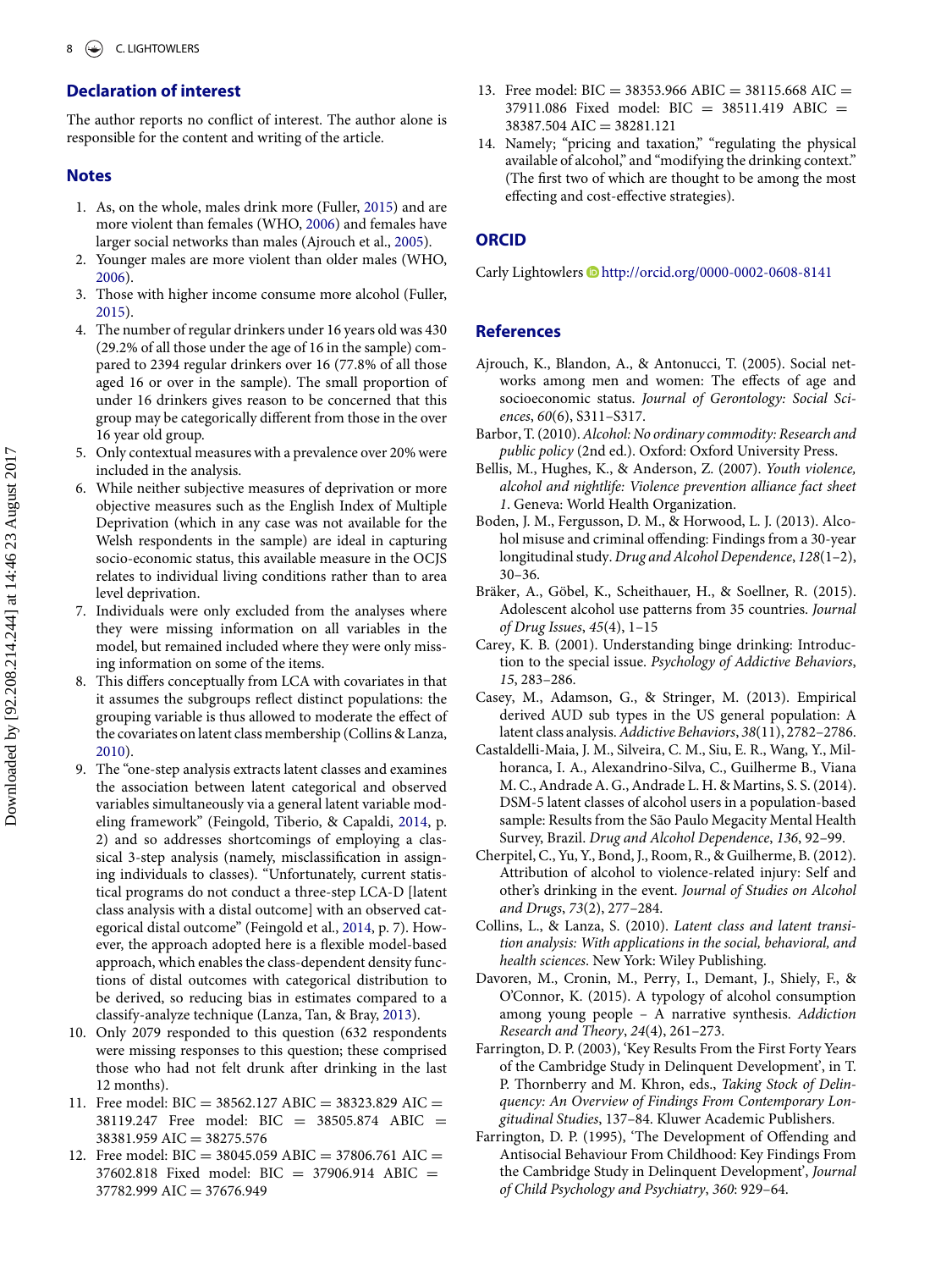# **Declaration of interest**

The author reports no conflict of interest. The author alone is responsible for the content and writing of the article.

## **Notes**

- <span id="page-8-3"></span>1. As, on the whole, males drink more (Fuller, [2015\)](#page-9-30) and are more violent than females (WHO, [2006\)](#page-10-8) and females have larger social networks than males (Ajrouch et al., [2005\)](#page-8-22).
- <span id="page-8-4"></span>2. Younger males are more violent than older males (WHO, [2006\)](#page-10-8).
- <span id="page-8-5"></span>3. Those with higher income consume more alcohol (Fuller, [2015\)](#page-9-30).
- <span id="page-8-10"></span>4. The number of regular drinkers under 16 years old was 430 (29.2% of all those under the age of 16 in the sample) compared to 2394 regular drinkers over 16 (77.8% of all those aged 16 or over in the sample). The small proportion of under 16 drinkers gives reason to be concerned that this group may be categorically different from those in the over 16 year old group.
- <span id="page-8-11"></span>5. Only contextual measures with a prevalence over 20% were included in the analysis.
- <span id="page-8-12"></span>6. While neither subjective measures of deprivation or more objective measures such as the English Index of Multiple Deprivation (which in any case was not available for the Welsh respondents in the sample) are ideal in capturing socio-economic status, this available measure in the OCJS relates to individual living conditions rather than to area level deprivation.
- <span id="page-8-14"></span>7. Individuals were only excluded from the analyses where they were missing information on all variables in the model, but remained included where they were only missing information on some of the items.
- <span id="page-8-15"></span>8. This differs conceptually from LCA with covariates in that it assumes the subgroups reflect distinct populations: the grouping variable is thus allowed to moderate the effect of the covariates on latent class membership (Collins & Lanza, [2010\)](#page-8-16).
- <span id="page-8-17"></span>9. The "one-step analysis extracts latent classes and examines the association between latent categorical and observed variables simultaneously via a general latent variable modeling framework" (Feingold, Tiberio, & Capaldi, [2014,](#page-9-31) p. 2) and so addresses shortcomings of employing a classical 3-step analysis (namely, misclassification in assigning individuals to classes). "Unfortunately, current statistical programs do not conduct a three-step LCA-D [latent class analysis with a distal outcome] with an observed categorical distal outcome" (Feingold et al., [2014,](#page-9-31) p. 7). However, the approach adopted here is a flexible model-based approach, which enables the class-dependent density functions of distal outcomes with categorical distribution to be derived, so reducing bias in estimates compared to a classify-analyze technique (Lanza, Tan, & Bray, [2013\)](#page-9-32).
- <span id="page-8-18"></span>10. Only 2079 responded to this question (632 respondents were missing responses to this question; these comprised those who had not felt drunk after drinking in the last 12 months).
- <span id="page-8-19"></span>11. Free model: BIC = 38562.127 ABIC = 38323.829 AIC = 38119.247 Free model: BIC = 38505.874 ABIC = 38381.959 AIC = 38275.576
- <span id="page-8-20"></span>12. Free model:  $BIC = 38045.059$  ABIC = 37806.761 AIC = 37602.818 Fixed model: BIC = 37906.914 ABIC = 37782.999 AIC = 37676.949
- <span id="page-8-21"></span>13. Free model: BIC = 38353.966 ABIC = 38115.668 AIC = 37911.086 Fixed model: BIC = 38511.419 ABIC = 38387.504 AIC = 38281.121
- <span id="page-8-24"></span>14. Namely; "pricing and taxation," "regulating the physical available of alcohol," and "modifying the drinking context." (The first two of which are thought to be among the most effecting and cost-effective strategies).

# **ORCID**

Carly Lightowlers <http://orcid.org/0000-0002-0608-8141>

## **References**

- <span id="page-8-22"></span>Ajrouch, K., Blandon, A., & Antonucci, T. (2005). Social networks among men and women: The effects of age and socioeconomic status. *Journal of Gerontology: Social Sciences*, *60*(6), S311–S317.
- <span id="page-8-23"></span>Barbor, T. (2010).*Alcohol: No ordinary commodity: Research and public policy* (2nd ed.). Oxford: Oxford University Press.
- <span id="page-8-9"></span>Bellis, M., Hughes, K., & Anderson, Z. (2007). *Youth violence, alcohol and nightlife: Violence prevention alliance fact sheet 1*. Geneva: World Health Organization.
- <span id="page-8-0"></span>Boden, J. M., Fergusson, D. M., & Horwood, L. J. (2013). Alcohol misuse and criminal offending: Findings from a 30-year longitudinal study. *Drug and Alcohol Dependence*, *128*(1–2), 30–36.
- <span id="page-8-2"></span>Bräker, A., Göbel, K., Scheithauer, H., & Soellner, R. (2015). Adolescent alcohol use patterns from 35 countries. *Journal of Drug Issues*, *45*(4), 1–15
- <span id="page-8-1"></span>Carey, K. B. (2001). Understanding binge drinking: Introduction to the special issue. *Psychology of Addictive Behaviors*, *15*, 283–286.
- <span id="page-8-6"></span>Casey, M., Adamson, G., & Stringer, M. (2013). Empirical derived AUD sub types in the US general population: A latent class analysis.*Addictive Behaviors*, *38*(11), 2782–2786.
- <span id="page-8-7"></span>Castaldelli-Maia, J. M., Silveira, C. M., Siu, E. R., Wang, Y., Milhoranca, I. A., Alexandrino-Silva, C., Guilherme B., Viana M. C., Andrade A. G., Andrade L. H. & Martins, S. S. (2014). DSM-5 latent classes of alcohol users in a population-based sample: Results from the São Paulo Megacity Mental Health Survey, Brazil. *Drug and Alcohol Dependence*, *136*, 92–99.
- <span id="page-8-13"></span>Cherpitel, C., Yu, Y., Bond, J., Room, R., & Guilherme, B. (2012). Attribution of alcohol to violence-related injury: Self and other's drinking in the event. *Journal of Studies on Alcohol and Drugs*, *73*(2), 277–284.
- <span id="page-8-16"></span>Collins, L., & Lanza, S. (2010). *Latent class and latent transition analysis: With applications in the social, behavioral, and health sciences*. New York: Wiley Publishing.
- <span id="page-8-8"></span>Davoren, M., Cronin, M., Perry, I., Demant, J., Shiely, F., & O'Connor, K. (2015). A typology of alcohol consumption among young people – A narrative synthesis. *Addiction Research and Theory*, *24*(4), 261–273.
- Farrington, D. P. (2003), 'Key Results From the First Forty Years of the Cambridge Study in Delinquent Development', in T. P. Thornberry and M. Khron, eds., *Taking Stock of Delinquency: An Overview of Findings From Contemporary Longitudinal Studies*, 137–84. Kluwer Academic Publishers.
- Farrington, D. P. (1995), 'The Development of Offending and Antisocial Behaviour From Childhood: Key Findings From the Cambridge Study in Delinquent Development', *Journal of Child Psychology and Psychiatry*, *360*: 929–64.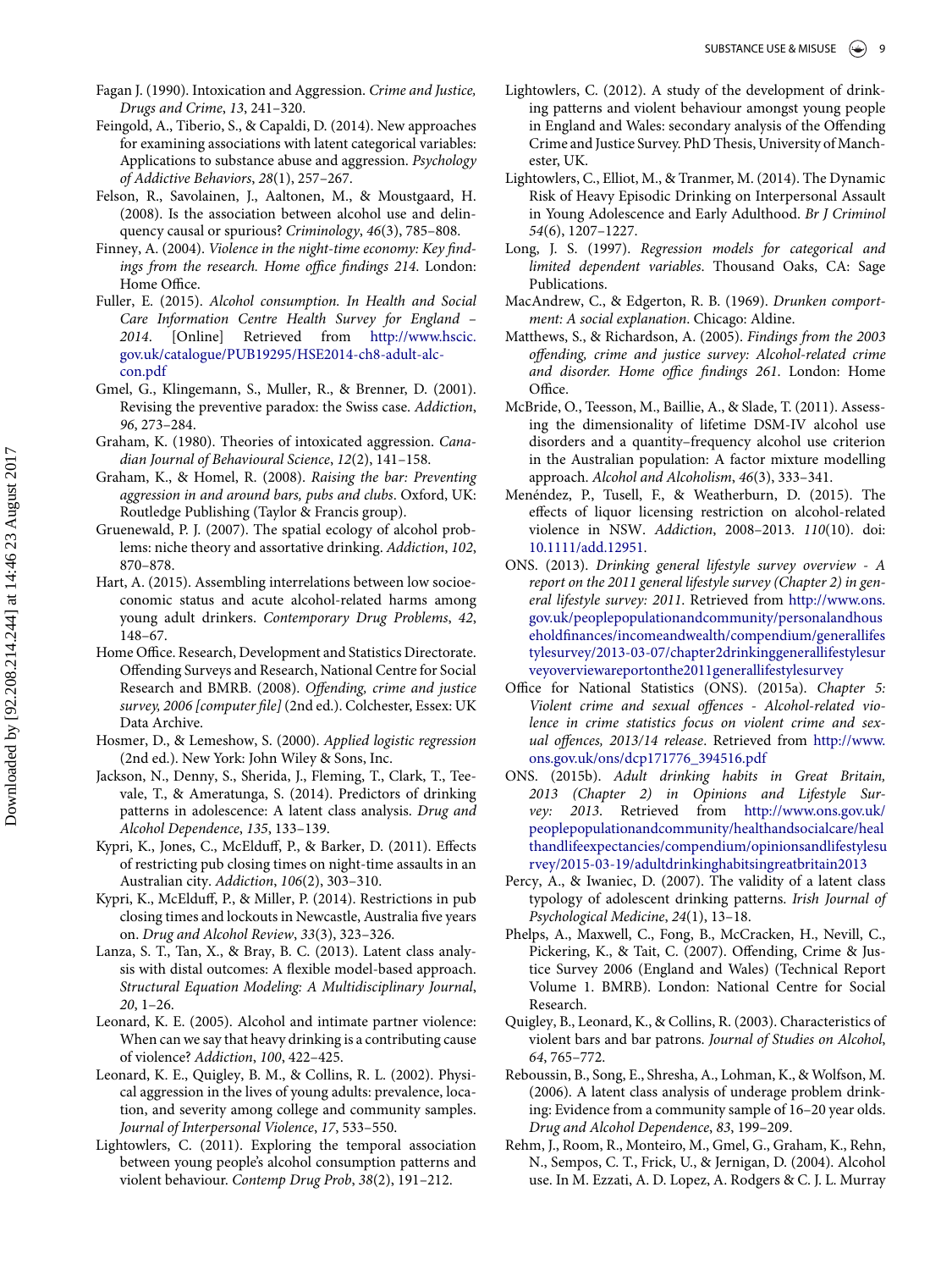- <span id="page-9-17"></span>Fagan J. (1990). Intoxication and Aggression. *Crime and Justice, Drugs and Crime*, *13*, 241–320.
- <span id="page-9-31"></span>Feingold, A., Tiberio, S., & Capaldi, D. (2014). New approaches for examining associations with latent categorical variables: Applications to substance abuse and aggression. *Psychology of Addictive Behaviors*, *28*(1), 257–267.
- <span id="page-9-1"></span>Felson, R., Savolainen, J., Aaltonen, M., & Moustgaard, H. (2008). Is the association between alcohol use and delinquency causal or spurious? *Criminology*, *46*(3), 785–808.
- <span id="page-9-0"></span>Finney, A. (2004). *Violence in the night-time economy: Key findings from the research. Home office findings 214*. London: Home Office.
- <span id="page-9-30"></span>Fuller, E. (2015). *Alcohol consumption. In Health and Social Care Information Centre Health Survey for England – 2014*. [Online] Retrieved from http://www.hscic. [gov.uk/catalogue/PUB19295/HSE2014-ch8-adult-alc](http://www.hscic.gov.uk/catalogue/PUB19295/HSE2014-ch8-adult-alc-con.pdf)con.pdf
- <span id="page-9-6"></span>Gmel, G., Klingemann, S., Muller, R., & Brenner, D. (2001). Revising the preventive paradox: the Swiss case. *Addiction*, *96*, 273–284.
- <span id="page-9-16"></span>Graham, K. (1980). Theories of intoxicated aggression. *Canadian Journal of Behavioural Science*, *12*(2), 141–158.
- <span id="page-9-2"></span>Graham, K., & Homel, R. (2008). *Raising the bar: Preventing aggression in and around bars, pubs and clubs*. Oxford, UK: Routledge Publishing (Taylor & Francis group).
- <span id="page-9-9"></span>Gruenewald, P. J. (2007). The spatial ecology of alcohol problems: niche theory and assortative drinking. *Addiction*, *102*, 870–878.
- <span id="page-9-24"></span>Hart, A. (2015). Assembling interrelations between low socioeconomic status and acute alcohol-related harms among young adult drinkers. *Contemporary Drug Problems*, *42*, 148–67.
- Home Office. Research, Development and Statistics Directorate. Offending Surveys and Research, National Centre for Social Research and BMRB. (2008). *Offending, crime and justice survey, 2006 [computer file]* (2nd ed.). Colchester, Essex: UK Data Archive.
- <span id="page-9-22"></span>Hosmer, D., & Lemeshow, S. (2000). *Applied logistic regression* (2nd ed.). New York: John Wiley & Sons, Inc.
- <span id="page-9-12"></span>Jackson, N., Denny, S., Sherida, J., Fleming, T., Clark, T., Teevale, T., & Ameratunga, S. (2014). Predictors of drinking patterns in adolescence: A latent class analysis. *Drug and Alcohol Dependence*, *135*, 133–139.
- <span id="page-9-27"></span>Kypri, K., Jones, C., McElduff, P., & Barker, D. (2011). Effects of restricting pub closing times on night-time assaults in an Australian city. *Addiction*, *106*(2), 303–310.
- <span id="page-9-28"></span>Kypri, K., McElduff, P., & Miller, P. (2014). Restrictions in pub closing times and lockouts in Newcastle, Australia five years on. *Drug and Alcohol Review*, *33*(3), 323–326.
- <span id="page-9-32"></span>Lanza, S. T., Tan, X., & Bray, B. C. (2013). Latent class analysis with distal outcomes: A flexible model-based approach. *Structural Equation Modeling: A Multidisciplinary Journal*, *20*, 1–26.
- <span id="page-9-18"></span>Leonard, K. E. (2005). Alcohol and intimate partner violence: When can we say that heavy drinking is a contributing cause of violence? *Addiction*, *100*, 422–425.
- <span id="page-9-10"></span>Leonard, K. E., Quigley, B. M., & Collins, R. L. (2002). Physical aggression in the lives of young adults: prevalence, location, and severity among college and community samples. *Journal of Interpersonal Violence*, *17*, 533–550.
- <span id="page-9-3"></span>Lightowlers, C. (2011). Exploring the temporal association between young people's alcohol consumption patterns and violent behaviour. *Contemp Drug Prob*, *38*(2), 191–212.
- <span id="page-9-4"></span>Lightowlers, C. (2012). A study of the development of drinking patterns and violent behaviour amongst young people in England and Wales: secondary analysis of the Offending Crime and Justice Survey. PhD Thesis, University of Manchester, UK.
- <span id="page-9-5"></span>Lightowlers, C., Elliot, M., & Tranmer, M. (2014). The Dynamic Risk of Heavy Episodic Drinking on Interpersonal Assault in Young Adolescence and Early Adulthood. *Br J Criminol 54*(6), 1207–1227.
- <span id="page-9-21"></span>Long, J. S. (1997). *Regression models for categorical and limited dependent variables*. Thousand Oaks, CA: Sage Publications.
- <span id="page-9-23"></span>MacAndrew, C., & Edgerton, R. B. (1969). *Drunken comportment: A social explanation*. Chicago: Aldine.
- <span id="page-9-15"></span>Matthews, S., & Richardson, A. (2005). *Findings from the 2003 offending, crime and justice survey: Alcohol-related crime and disorder. Home office findings 261*. London: Home Office.
- <span id="page-9-13"></span>McBride, O., Teesson, M., Baillie, A., & Slade, T. (2011). Assessing the dimensionality of lifetime DSM-IV alcohol use disorders and a quantity–frequency alcohol use criterion in the Australian population: A factor mixture modelling approach. *Alcohol and Alcoholism*, *46*(3), 333–341.
- <span id="page-9-29"></span>Menéndez, P., Tusell, F., & Weatherburn, D. (2015). The effects of liquor licensing restriction on alcohol-related violence in NSW. *Addiction*, 2008–2013. *110*(10). doi: [10.1111/add.12951.](https://doi.org/10.1111/add.12951)
- <span id="page-9-25"></span>ONS. (2013). *Drinking general lifestyle survey overview - A report on the 2011 general lifestyle survey (Chapter 2) in general lifestyle survey: 2011*. Retrieved from http://www.ons. gov.uk/peoplepopulationandcommunity/personalandhous eholdfinances/incomeandwealth/compendium/generallifes [tylesurvey/2013-03-07/chapter2drinkinggenerallifestylesur](http://www.ons.gov.uk/peoplepopulationandcommunity/personalandhouseholdfinances/incomeandwealth/compendium/generallifestylesurvey/2013-03-07/chapter2drinkinggenerallifestylesurveyoverviewareportonthe2011generallifestylesurvey) veyoverviewareportonthe2011generallifestylesurvey
- <span id="page-9-26"></span>Office for National Statistics (ONS). (2015a). *Chapter 5: Violent crime and sexual offences - Alcohol-related violence in crime statistics focus on violent crime and sexual offences, 2013/14 release*. Retrieved from http://www. [ons.gov.uk/ons/dcp171776\\_394516.pdf](http://www.ons.gov.uk/ons/dcp171776_394516.pdf)
- <span id="page-9-20"></span>ONS. (2015b). *Adult drinking habits in Great Britain, 2013 (Chapter 2) in Opinions and Lifestyle Survey: 2013*. Retrieved from http://www.ons.gov.uk/ peoplepopulationandcommunity/healthandsocialcare/heal [thandlifeexpectancies/compendium/opinionsandlifestylesu](http://www.ons.gov.uk/peoplepopulationandcommunity/healthandsocialcare/healthandlifeexpectancies/compendium/opinionsandlifestylesurvey/2015-03-19/adultdrinkinghabitsingreatbritain2013) rvey/2015-03-19/adultdrinkinghabitsingreatbritain2013
- <span id="page-9-14"></span>Percy, A., & Iwaniec, D. (2007). The validity of a latent class typology of adolescent drinking patterns. *Irish Journal of Psychological Medicine*, *24*(1), 13–18.
- <span id="page-9-19"></span>Phelps, A., Maxwell, C., Fong, B., McCracken, H., Nevill, C., Pickering, K., & Tait, C. (2007). Offending, Crime & Justice Survey 2006 (England and Wales) (Technical Report Volume 1. BMRB). London: National Centre for Social Research.
- <span id="page-9-11"></span>Quigley, B., Leonard, K., & Collins, R. (2003). Characteristics of violent bars and bar patrons. *Journal of Studies on Alcohol*, *64*, 765–772.
- <span id="page-9-8"></span>Reboussin, B., Song, E., Shresha, A., Lohman, K., & Wolfson, M. (2006). A latent class analysis of underage problem drinking: Evidence from a community sample of 16–20 year olds. *Drug and Alcohol Dependence*, *83*, 199–209.
- <span id="page-9-7"></span>Rehm, J., Room, R., Monteiro, M., Gmel, G., Graham, K., Rehn, N., Sempos, C. T., Frick, U., & Jernigan, D. (2004). Alcohol use. In M. Ezzati, A. D. Lopez, A. Rodgers & C. J. L. Murray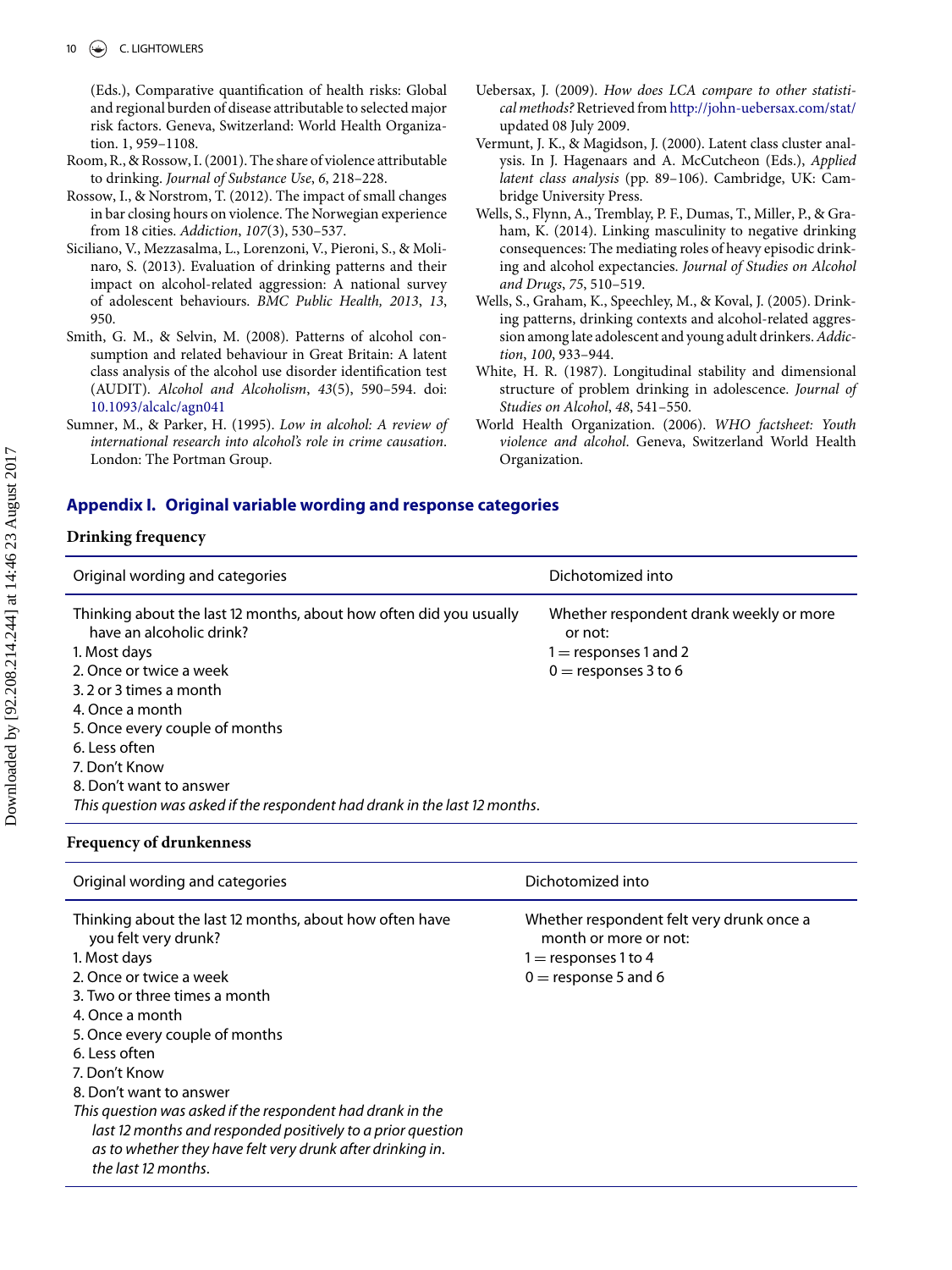## 10  $\left(\bigstar\right)$  C. LIGHTOWLERS

(Eds.), Comparative quantification of health risks: Global and regional burden of disease attributable to selected major risk factors. Geneva, Switzerland: World Health Organization. 1, 959–1108.

- <span id="page-10-4"></span>Room, R., & Rossow, I. (2001). The share of violence attributable to drinking. *Journal of Substance Use*, *6*, 218–228.
- <span id="page-10-11"></span>Rossow, I., & Norstrom, T. (2012). The impact of small changes in bar closing hours on violence. The Norwegian experience from 18 cities. *Addiction*, *107*(3), 530–537.
- <span id="page-10-6"></span>Siciliano, V., Mezzasalma, L., Lorenzoni, V., Pieroni, S., & Molinaro, S. (2013). Evaluation of drinking patterns and their impact on alcohol-related aggression: A national survey of adolescent behaviours. *BMC Public Health, 2013*, *13*, 950.
- <span id="page-10-3"></span>Smith, G. M., & Selvin, M. (2008). Patterns of alcohol consumption and related behaviour in Great Britain: A latent class analysis of the alcohol use disorder identification test (AUDIT). *Alcohol and Alcoholism*, *43*(5), 590–594. doi: [10.1093/alcalc/agn041](https://doi.org/10.1093/alcalc/agn041)
- <span id="page-10-5"></span>Sumner, M., & Parker, H. (1995). *Low in alcohol: A review of international research into alcohol's role in crime causation*. London: The Portman Group.
- <span id="page-10-2"></span>Uebersax, J. (2009). *How does LCA compare to other statistical methods?* Retrieved from <http://john-uebersax.com/stat/> updated 08 July 2009.
- <span id="page-10-9"></span>Vermunt, J. K., & Magidson, J. (2000). Latent class cluster analysis. In J. Hagenaars and A. McCutcheon (Eds.), *Applied latent class analysis* (pp. 89–106). Cambridge, UK: Cambridge University Press.
- <span id="page-10-10"></span>Wells, S., Flynn, A., Tremblay, P. F., Dumas, T., Miller, P., & Graham, K. (2014). Linking masculinity to negative drinking consequences: The mediating roles of heavy episodic drinking and alcohol expectancies. *Journal of Studies on Alcohol and Drugs*, *75*, 510–519.
- <span id="page-10-1"></span>Wells, S., Graham, K., Speechley, M., & Koval, J. (2005). Drinking patterns, drinking contexts and alcohol-related aggression among late adolescent and young adult drinkers.*Addiction*, *100*, 933–944.
- <span id="page-10-0"></span>White, H. R. (1987). Longitudinal stability and dimensional structure of problem drinking in adolescence. *Journal of Studies on Alcohol*, *48*, 541–550.
- <span id="page-10-8"></span>World Health Organization. (2006). *WHO factsheet: Youth violence and alcohol*. Geneva, Switzerland World Health Organization.

# <span id="page-10-7"></span>**Appendix I. Original variable wording and response categories**

# **Drinking frequency**

| Original wording and categories                                                                                                                                                                                                                                                                                                                                     | Dichotomized into                                                                                       |
|---------------------------------------------------------------------------------------------------------------------------------------------------------------------------------------------------------------------------------------------------------------------------------------------------------------------------------------------------------------------|---------------------------------------------------------------------------------------------------------|
| Thinking about the last 12 months, about how often did you usually<br>have an alcoholic drink?<br>1. Most days<br>2. Once or twice a week<br>3.2 or 3 times a month<br>4. Once a month<br>5. Once every couple of months<br>6. Less often<br>7. Don't Know<br>8. Don't want to answer<br>This question was asked if the respondent had drank in the last 12 months. | Whether respondent drank weekly or more<br>or not:<br>$1 =$ responses 1 and 2<br>$0 =$ responses 3 to 6 |

# **Frequency of drunkenness**

| Original wording and categories                                                                                                                                                                                                                                                                                                                                                                                                                                                                 | Dichotomized into                                                                                                      |  |  |  |  |
|-------------------------------------------------------------------------------------------------------------------------------------------------------------------------------------------------------------------------------------------------------------------------------------------------------------------------------------------------------------------------------------------------------------------------------------------------------------------------------------------------|------------------------------------------------------------------------------------------------------------------------|--|--|--|--|
| Thinking about the last 12 months, about how often have<br>you felt very drunk?<br>1. Most days<br>2. Once or twice a week<br>3. Two or three times a month<br>4. Once a month<br>5. Once every couple of months<br>6. Less often<br>7. Don't Know<br>8. Don't want to answer<br>This question was asked if the respondent had drank in the<br>last 12 months and responded positively to a prior question<br>as to whether they have felt very drunk after drinking in.<br>the last 12 months. | Whether respondent felt very drunk once a<br>month or more or not:<br>$1 =$ responses 1 to 4<br>$0 =$ response 5 and 6 |  |  |  |  |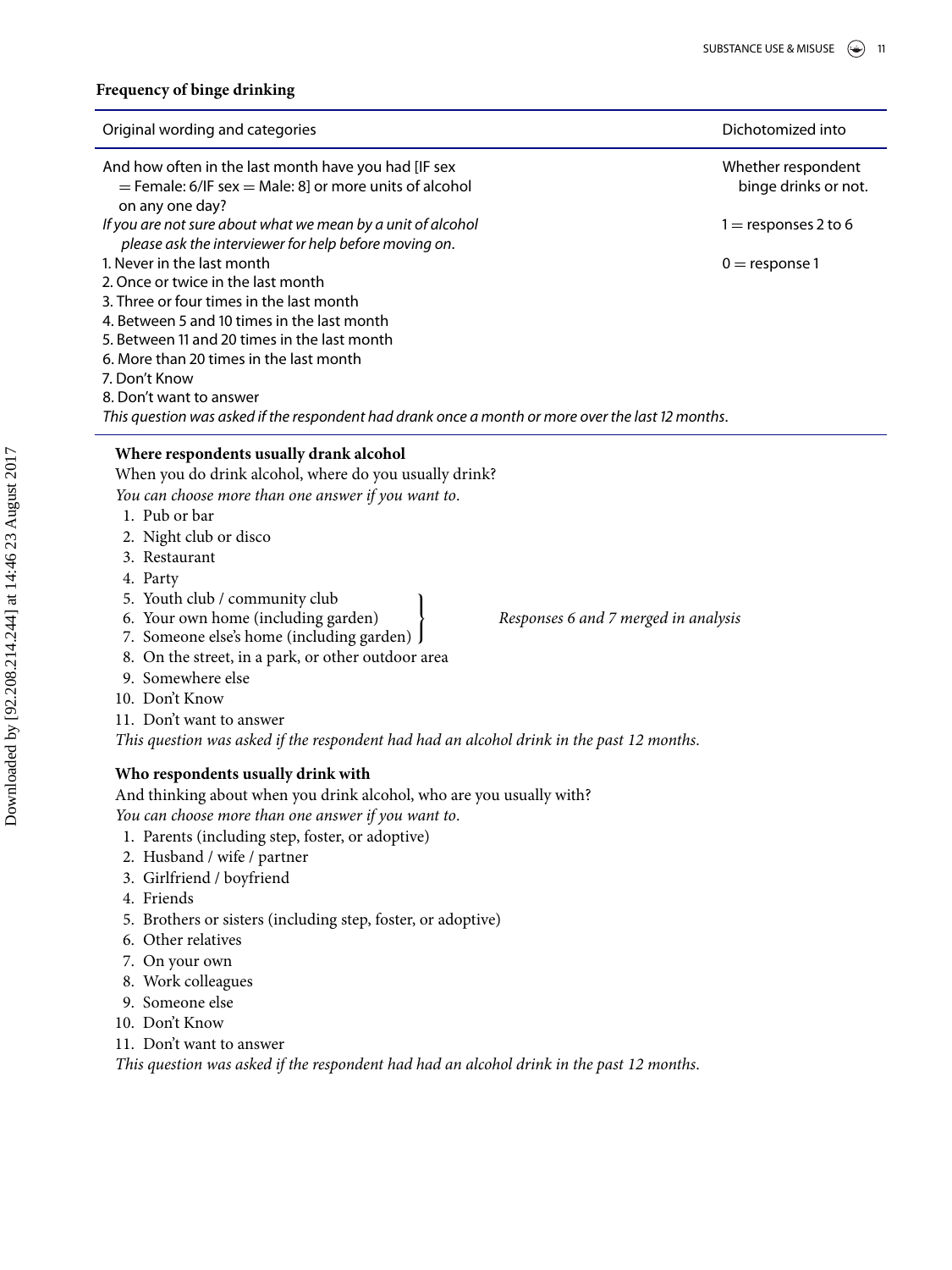#### **Frequency of binge drinking**

| Original wording and categories                                                                   | Dichotomized into      |
|---------------------------------------------------------------------------------------------------|------------------------|
| And how often in the last month have you had [IF sex                                              | Whether respondent     |
| $=$ Female: 6/IF sex $=$ Male: 8] or more units of alcohol                                        | binge drinks or not.   |
| on any one day?                                                                                   |                        |
| If you are not sure about what we mean by a unit of alcohol                                       | $1 =$ responses 2 to 6 |
| please ask the interviewer for help before moving on.                                             |                        |
| 1. Never in the last month                                                                        | $0 =$ response 1       |
| 2. Once or twice in the last month                                                                |                        |
| 3. Three or four times in the last month                                                          |                        |
| 4. Between 5 and 10 times in the last month                                                       |                        |
| 5. Between 11 and 20 times in the last month                                                      |                        |
| 6. More than 20 times in the last month                                                           |                        |
| 7. Don't Know                                                                                     |                        |
| 8. Don't want to answer                                                                           |                        |
| This question was asked if the respondent had drank once a month or more over the last 12 months. |                        |
| Ith are recovered ante werelly dready algebal                                                     |                        |

*Responses 6 and 7 merged in analysis*

**Where respondents usually drank alcohol** When you do drink alcohol, where do you usually drink?

*You can choose more than one answer if you want to*.

- 1. Pub or bar
- 2. Night club or disco
- 3. Restaurant
- 4. Party
- 5. Youth club / community club
- 6. Your own home (including garden)
- 7. Someone else's home (including garden)
- 8. On the street, in a park, or other outdoor area
- 9. Somewhere else
- 10. Don't Know
- 11. Don't want to answer

*This question was asked if the respondent had had an alcohol drink in the past 12 months*.

# **Who respondents usually drink with**

And thinking about when you drink alcohol, who are you usually with?

- *You can choose more than one answer if you want to*.
- 1. Parents (including step, foster, or adoptive)
- 2. Husband / wife / partner
- 3. Girlfriend / boyfriend
- 4. Friends
- 5. Brothers or sisters (including step, foster, or adoptive)
- 6. Other relatives
- 7. On your own
- 8. Work colleagues
- 9. Someone else
- 10. Don't Know
- 11. Don't want to answer

*This question was asked if the respondent had had an alcohol drink in the past 12 months*.